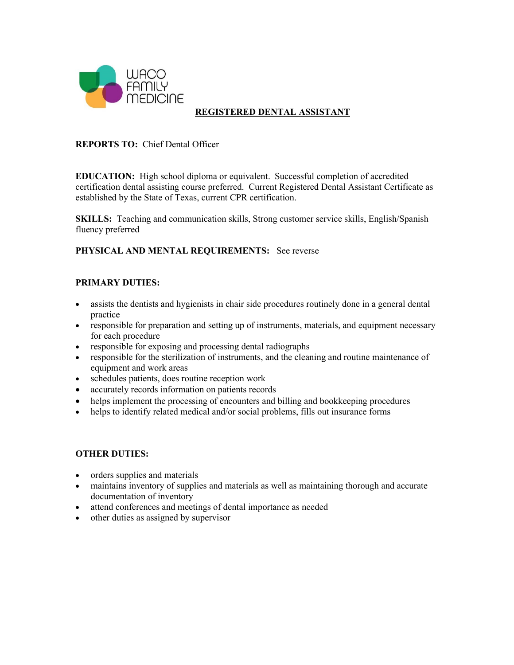

# **REGISTERED DENTAL ASSISTANT**

### **REPORTS TO:** Chief Dental Officer

**EDUCATION:** High school diploma or equivalent. Successful completion of accredited certification dental assisting course preferred. Current Registered Dental Assistant Certificate as established by the State of Texas, current CPR certification.

**SKILLS:** Teaching and communication skills, Strong customer service skills, English/Spanish fluency preferred

### **PHYSICAL AND MENTAL REQUIREMENTS:** See reverse

#### **PRIMARY DUTIES:**

- assists the dentists and hygienists in chair side procedures routinely done in a general dental practice
- responsible for preparation and setting up of instruments, materials, and equipment necessary for each procedure
- responsible for exposing and processing dental radiographs
- responsible for the sterilization of instruments, and the cleaning and routine maintenance of equipment and work areas
- schedules patients, does routine reception work
- accurately records information on patients records
- helps implement the processing of encounters and billing and bookkeeping procedures
- helps to identify related medical and/or social problems, fills out insurance forms

#### **OTHER DUTIES:**

- orders supplies and materials
- maintains inventory of supplies and materials as well as maintaining thorough and accurate documentation of inventory
- attend conferences and meetings of dental importance as needed
- other duties as assigned by supervisor